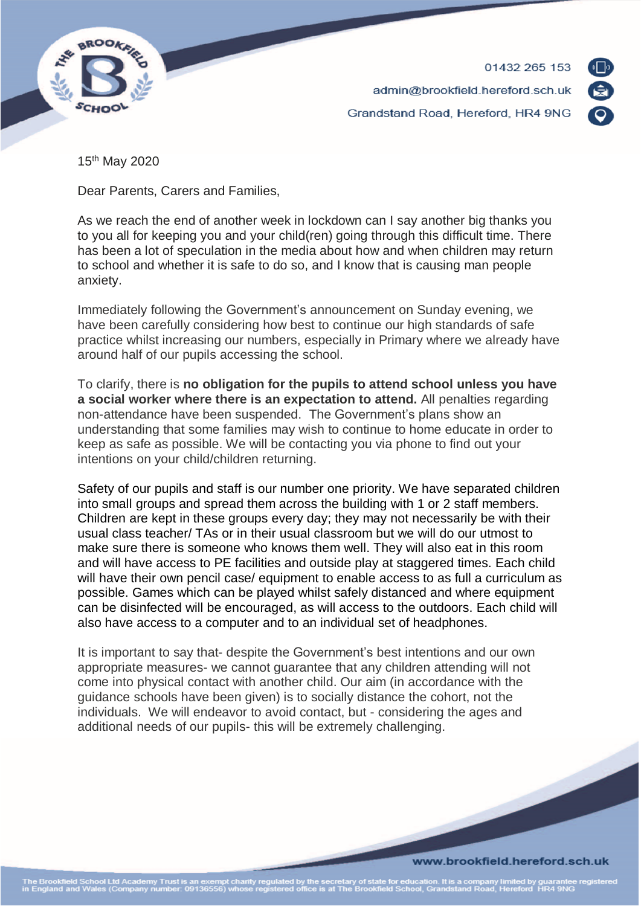

01432 265 153 admin@brookfield.hereford.sch.uk Grandstand Road, Hereford, HR4 9NG



15th May 2020

Dear Parents, Carers and Families,

As we reach the end of another week in lockdown can I say another big thanks you to you all for keeping you and your child(ren) going through this difficult time. There has been a lot of speculation in the media about how and when children may return to school and whether it is safe to do so, and I know that is causing man people anxiety.

Immediately following the Government's announcement on Sunday evening, we have been carefully considering how best to continue our high standards of safe practice whilst increasing our numbers, especially in Primary where we already have around half of our pupils accessing the school.

To clarify, there is **no obligation for the pupils to attend school unless you have a social worker where there is an expectation to attend.** All penalties regarding non-attendance have been suspended. The Government's plans show an understanding that some families may wish to continue to home educate in order to keep as safe as possible. We will be contacting you via phone to find out your intentions on your child/children returning.

Safety of our pupils and staff is our number one priority. We have separated children into small groups and spread them across the building with 1 or 2 staff members. Children are kept in these groups every day; they may not necessarily be with their usual class teacher/ TAs or in their usual classroom but we will do our utmost to make sure there is someone who knows them well. They will also eat in this room and will have access to PE facilities and outside play at staggered times. Each child will have their own pencil case/ equipment to enable access to as full a curriculum as possible. Games which can be played whilst safely distanced and where equipment can be disinfected will be encouraged, as will access to the outdoors. Each child will also have access to a computer and to an individual set of headphones.

It is important to say that- despite the Government's best intentions and our own appropriate measures- we cannot guarantee that any children attending will not come into physical contact with another child. Our aim (in accordance with the guidance schools have been given) is to socially distance the cohort, not the individuals. We will endeavor to avoid contact, but - considering the ages and additional needs of our pupils- this will be extremely challenging.

### www.brookfield.hereford.sch.uk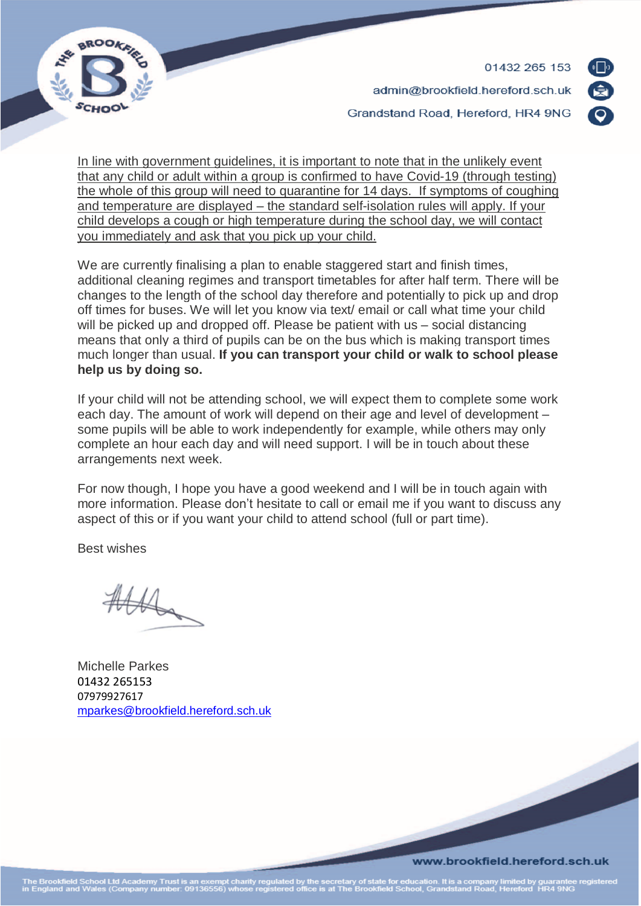01432 265 153



admin@brookfield.hereford.sch.uk

Grandstand Road, Hereford, HR4 9NG

In line with government guidelines, it is important to note that in the unlikely event that any child or adult within a group is confirmed to have Covid-19 (through testing) the whole of this group will need to quarantine for 14 days. If symptoms of coughing and temperature are displayed – the standard self-isolation rules will apply. If your child develops a cough or high temperature during the school day, we will contact you immediately and ask that you pick up your child.

We are currently finalising a plan to enable staggered start and finish times, additional cleaning regimes and transport timetables for after half term. There will be changes to the length of the school day therefore and potentially to pick up and drop off times for buses. We will let you know via text/ email or call what time your child will be picked up and dropped off. Please be patient with us – social distancing means that only a third of pupils can be on the bus which is making transport times much longer than usual. **If you can transport your child or walk to school please help us by doing so.**

If your child will not be attending school, we will expect them to complete some work each day. The amount of work will depend on their age and level of development – some pupils will be able to work independently for example, while others may only complete an hour each day and will need support. I will be in touch about these arrangements next week.

For now though, I hope you have a good weekend and I will be in touch again with more information. Please don't hesitate to call or email me if you want to discuss any aspect of this or if you want your child to attend school (full or part time).

Best wishes

the

Michelle Parkes 01432 265153 07979927617 [mparkes@brookfield.hereford.sch.uk](mailto:mparkes@brookfield.hereford.sch.uk)

www.brookfield.hereford.sch.uk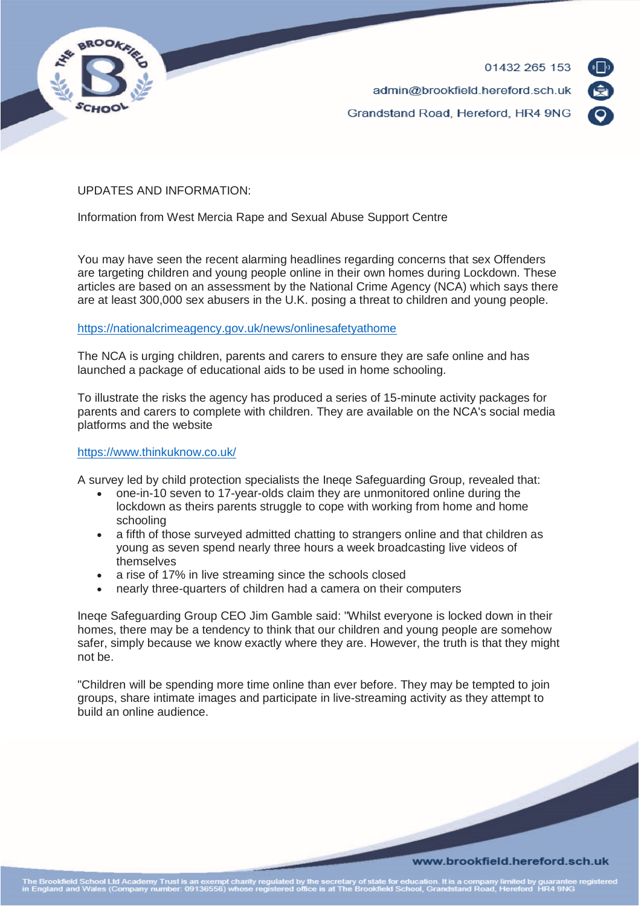



# UPDATES AND INFORMATION:

Information from West Mercia Rape and Sexual Abuse Support Centre

You may have seen the recent alarming headlines regarding concerns that sex Offenders are targeting children and young people online in their own homes during Lockdown. These articles are based on an assessment by the National Crime Agency (NCA) which says there are at least 300,000 sex abusers in the U.K. posing a threat to children and young people.

## <https://nationalcrimeagency.gov.uk/news/onlinesafetyathome>

The NCA is urging children, parents and carers to ensure they are safe online and has launched a package of educational aids to be used in home schooling.

To illustrate the risks the agency has produced a series of 15-minute activity packages for parents and carers to complete with children. They are available on the NCA's social media platforms and the website

### <https://www.thinkuknow.co.uk/>

A survey led by child protection specialists the Ineqe Safeguarding Group, revealed that:

- one-in-10 seven to 17-year-olds claim they are unmonitored online during the lockdown as theirs parents struggle to cope with working from home and home schooling
- a fifth of those surveyed admitted chatting to strangers online and that children as young as seven spend nearly three hours a week broadcasting live videos of themselves
- a rise of 17% in live streaming since the schools closed
- nearly three-quarters of children had a camera on their computers

Ineqe Safeguarding Group CEO Jim Gamble said: "Whilst everyone is locked down in their homes, there may be a tendency to think that our children and young people are somehow safer, simply because we know exactly where they are. However, the truth is that they might not be.

"Children will be spending more time online than ever before. They may be tempted to join groups, share intimate images and participate in live-streaming activity as they attempt to build an online audience.

### www.brookfield.hereford.sch.uk